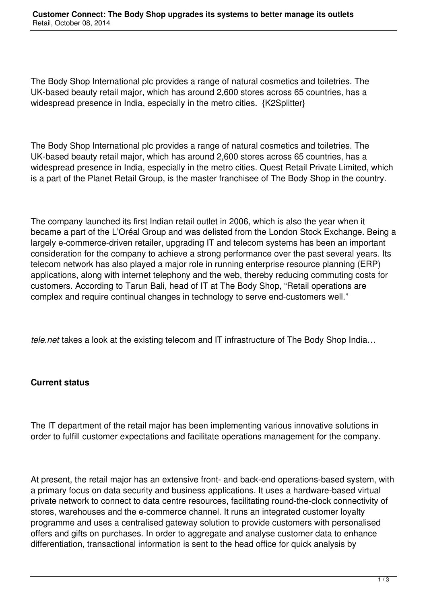The Body Shop International plc provides a range of natural cosmetics and toiletries. The UK-based beauty retail major, which has around 2,600 stores across 65 countries, has a widespread presence in India, especially in the metro cities. {K2Splitter}

The Body Shop International plc provides a range of natural cosmetics and toiletries. The UK-based beauty retail major, which has around 2,600 stores across 65 countries, has a widespread presence in India, especially in the metro cities. Quest Retail Private Limited, which is a part of the Planet Retail Group, is the master franchisee of The Body Shop in the country.

The company launched its first Indian retail outlet in 2006, which is also the year when it became a part of the L'Oréal Group and was delisted from the London Stock Exchange. Being a largely e-commerce-driven retailer, upgrading IT and telecom systems has been an important consideration for the company to achieve a strong performance over the past several years. Its telecom network has also played a major role in running enterprise resource planning (ERP) applications, along with internet telephony and the web, thereby reducing commuting costs for customers. According to Tarun Bali, head of IT at The Body Shop, "Retail operations are complex and require continual changes in technology to serve end-customers well."

*tele.net* takes a look at the existing telecom and IT infrastructure of The Body Shop India…

## **Current status**

The IT department of the retail major has been implementing various innovative solutions in order to fulfill customer expectations and facilitate operations management for the company.

At present, the retail major has an extensive front- and back-end operations-based system, with a primary focus on data security and business applications. It uses a hardware-based virtual private network to connect to data centre resources, facilitating round-the-clock connectivity of stores, warehouses and the e-commerce channel. It runs an integrated customer loyalty programme and uses a centralised gateway solution to provide customers with personalised offers and gifts on purchases. In order to aggregate and analyse customer data to enhance differentiation, transactional information is sent to the head office for quick analysis by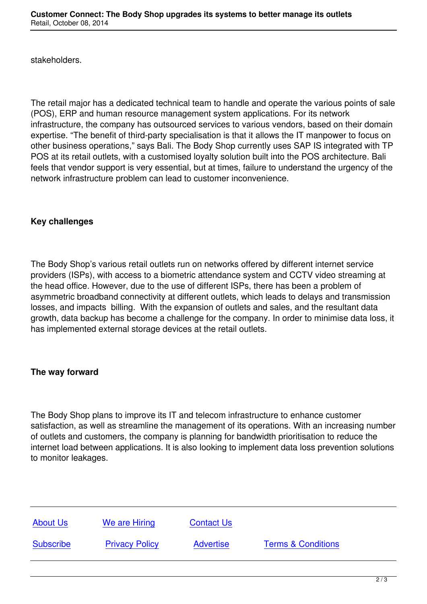The retail major has a dedicated technical team to handle and operate the various points of sale (POS), ERP and human resource management system applications. For its network infrastructure, the company has outsourced services to various vendors, based on their domain expertise. "The benefit of third-party specialisation is that it allows the IT manpower to focus on other business operations," says Bali. The Body Shop currently uses SAP IS integrated with TP POS at its retail outlets, with a customised loyalty solution built into the POS architecture. Bali feels that vendor support is very essential, but at times, failure to understand the urgency of the network infrastructure problem can lead to customer inconvenience.

## **Key challenges**

The Body Shop's various retail outlets run on networks offered by different internet service providers (ISPs), with access to a biometric attendance system and CCTV video streaming at the head office. However, due to the use of different ISPs, there has been a problem of asymmetric broadband connectivity at different outlets, which leads to delays and transmission losses, and impacts billing. With the expansion of outlets and sales, and the resultant data growth, data backup has become a challenge for the company. In order to minimise data loss, it has implemented external storage devices at the retail outlets.

## **The way forward**

The Body Shop plans to improve its IT and telecom infrastructure to enhance customer satisfaction, as well as streamline the management of its operations. With an increasing number of outlets and customers, the company is planning for bandwidth prioritisation to reduce the internet load between applications. It is also looking to implement data loss prevention solutions to monitor leakages.

| <b>About Us</b>  | We are Hiring         | <b>Contact Us</b> |                               |
|------------------|-----------------------|-------------------|-------------------------------|
| <b>Subscribe</b> | <b>Privacy Policy</b> | <b>Advertise</b>  | <b>Terms &amp; Conditions</b> |